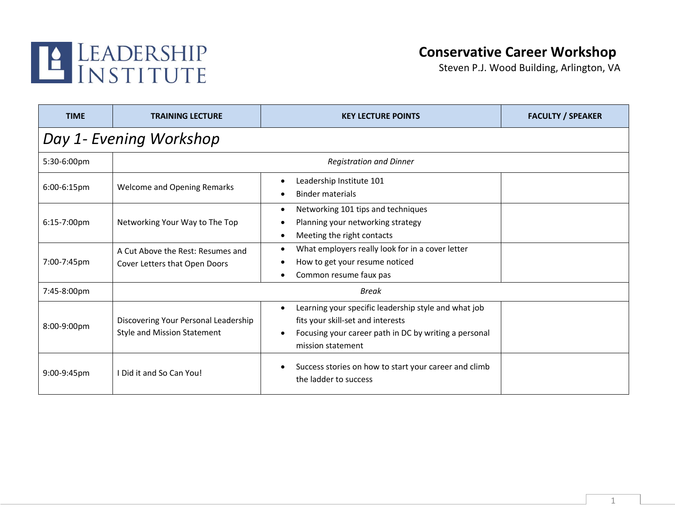

## **Conservative Career Workshop**

Steven P.J. Wood Building, Arlington, VA

| <b>TIME</b>             | <b>TRAINING LECTURE</b>                                                    | <b>KEY LECTURE POINTS</b>                                                                                                                                                            | <b>FACULTY / SPEAKER</b> |  |
|-------------------------|----------------------------------------------------------------------------|--------------------------------------------------------------------------------------------------------------------------------------------------------------------------------------|--------------------------|--|
| Day 1- Evening Workshop |                                                                            |                                                                                                                                                                                      |                          |  |
| 5:30-6:00pm             |                                                                            | <b>Registration and Dinner</b>                                                                                                                                                       |                          |  |
| $6:00-6:15$ pm          | <b>Welcome and Opening Remarks</b>                                         | Leadership Institute 101<br><b>Binder materials</b>                                                                                                                                  |                          |  |
| 6:15-7:00pm             | Networking Your Way to The Top                                             | Networking 101 tips and techniques<br>٠<br>Planning your networking strategy<br>Meeting the right contacts                                                                           |                          |  |
| 7:00-7:45pm             | A Cut Above the Rest: Resumes and<br>Cover Letters that Open Doors         | What employers really look for in a cover letter<br>How to get your resume noticed<br>Common resume faux pas                                                                         |                          |  |
| 7:45-8:00pm             |                                                                            | <b>Break</b>                                                                                                                                                                         |                          |  |
| 8:00-9:00pm             | Discovering Your Personal Leadership<br><b>Style and Mission Statement</b> | Learning your specific leadership style and what job<br>$\bullet$<br>fits your skill-set and interests<br>Focusing your career path in DC by writing a personal<br>mission statement |                          |  |
| $9:00-9:45$ pm          | I Did it and So Can You!                                                   | Success stories on how to start your career and climb<br>the ladder to success                                                                                                       |                          |  |